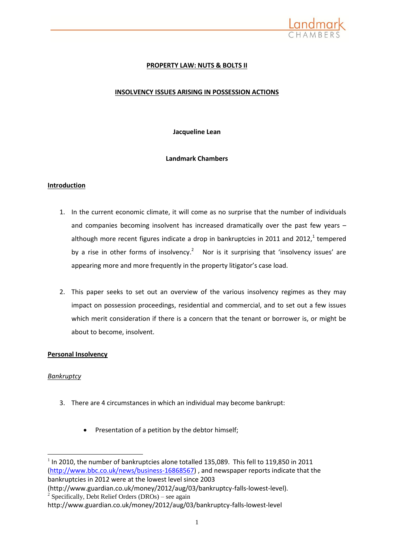

# **PROPERTY LAW: NUTS & BOLTS II**

# **INSOLVENCY ISSUES ARISING IN POSSESSION ACTIONS**

**Jacqueline Lean**

### **Landmark Chambers**

### **Introduction**

- 1. In the current economic climate, it will come as no surprise that the number of individuals and companies becoming insolvent has increased dramatically over the past few years – although more recent figures indicate a drop in bankruptcies in 2011 and 2012,<sup>1</sup> tempered by a rise in other forms of insolvency.<sup>2</sup> Nor is it surprising that 'insolvency issues' are appearing more and more frequently in the property litigator's case load.
- 2. This paper seeks to set out an overview of the various insolvency regimes as they may impact on possession proceedings, residential and commercial, and to set out a few issues which merit consideration if there is a concern that the tenant or borrower is, or might be about to become, insolvent.

### **Personal Insolvency**

### *Bankruptcy*

-

- 3. There are 4 circumstances in which an individual may become bankrupt:
	- Presentation of a petition by the debtor himself;

 $1$  In 2010, the number of bankruptcies alone totalled 135,089. This fell to 119,850 in 2011 [\(http://www.bbc.co.uk/news/business-16868567\)](http://www.bbc.co.uk/news/business-16868567) , and newspaper reports indicate that the bankruptcies in 2012 were at the lowest level since 2003

<sup>(</sup>http://www.guardian.co.uk/money/2012/aug/03/bankruptcy-falls-lowest-level). <sup>2</sup> Specifically, Debt Relief Orders (DROs) – see again

http://www.guardian.co.uk/money/2012/aug/03/bankruptcy-falls-lowest-level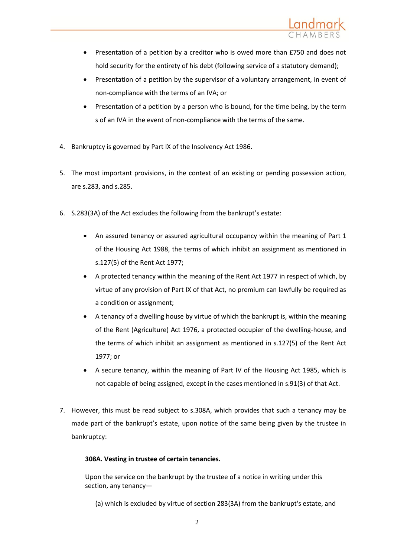

- Presentation of a petition by a creditor who is owed more than £750 and does not hold security for the entirety of his debt (following service of a statutory demand);
- Presentation of a petition by the supervisor of a voluntary arrangement, in event of non-compliance with the terms of an IVA; or
- Presentation of a petition by a person who is bound, for the time being, by the term s of an IVA in the event of non-compliance with the terms of the same.
- 4. Bankruptcy is governed by Part IX of the Insolvency Act 1986.
- 5. The most important provisions, in the context of an existing or pending possession action, are s.283, and s.285.
- 6. S.283(3A) of the Act excludes the following from the bankrupt's estate:
	- An assured tenancy or assured agricultural occupancy within the meaning of Part 1 of the Housing Act 1988, the terms of which inhibit an assignment as mentioned in s.127(5) of the Rent Act 1977;
	- A protected tenancy within the meaning of the Rent Act 1977 in respect of which, by virtue of any provision of Part IX of that Act, no premium can lawfully be required as a condition or assignment;
	- A tenancy of a dwelling house by virtue of which the bankrupt is, within the meaning of the Rent (Agriculture) Act 1976, a protected occupier of the dwelling-house, and the terms of which inhibit an assignment as mentioned in s.127(5) of the Rent Act 1977; or
	- A secure tenancy, within the meaning of Part IV of the Housing Act 1985, which is not capable of being assigned, except in the cases mentioned in s.91(3) of that Act.
- 7. However, this must be read subject to s.308A, which provides that such a tenancy may be made part of the bankrupt's estate, upon notice of the same being given by the trustee in bankruptcy:

# **308A. Vesting in trustee of certain tenancies.**

Upon the service on the bankrupt by the trustee of a notice in writing under this section, any tenancy—

(a) which is excluded by virtue of [section 283\(3A\)](http://login.westlaw.co.uk/maf/wluk/app/document?src=doc&linktype=ref&&context=47&crumb-action=replace&docguid=ID767FC40E44A11DA8D70A0E70A78ED65) from the bankrupt's estate, and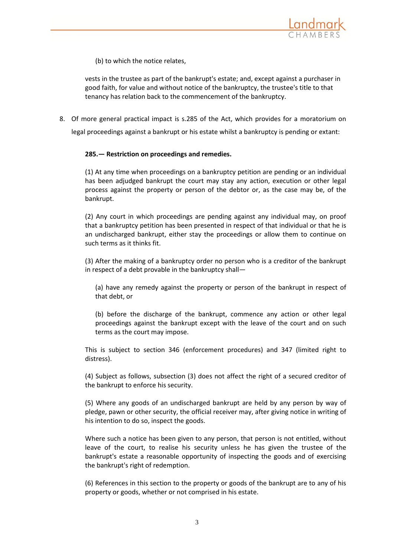

(b) to which the notice relates,

vests in the trustee as part of the bankrupt's estate; and, except against a purchaser in good faith, for value and without notice of the bankruptcy, the trustee's title to that tenancy has relation back to the commencement of the bankruptcy.

8. Of more general practical impact is s.285 of the Act, which provides for a moratorium on

legal proceedings against a bankrupt or his estate whilst a bankruptcy is pending or extant:

### **285.— Restriction on proceedings and remedies.**

(1) At any time when proceedings on a bankruptcy petition are pending or an individual has been adjudged bankrupt the court may stay any action, execution or other legal process against the property or person of the debtor or, as the case may be, of the bankrupt.

(2) Any court in which proceedings are pending against any individual may, on proof that a bankruptcy petition has been presented in respect of that individual or that he is an undischarged bankrupt, either stay the proceedings or allow them to continue on such terms as it thinks fit.

(3) After the making of a bankruptcy order no person who is a creditor of the bankrupt in respect of a debt provable in the bankruptcy shall—

(a) have any remedy against the property or person of the bankrupt in respect of that debt, or

(b) before the discharge of the bankrupt, commence any action or other legal proceedings against the bankrupt except with the leave of the court and on such terms as the court may impose.

This is subject to [section 346](http://login.westlaw.co.uk/maf/wluk/app/document?src=doc&linktype=ref&&context=43&crumb-action=replace&docguid=ID7A2BB50E44A11DA8D70A0E70A78ED65) (enforcement procedures) and 347 (limited right to distress).

(4) Subject as follows, subsection (3) does not affect the right of a secured creditor of the bankrupt to enforce his security.

(5) Where any goods of an undischarged bankrupt are held by any person by way of pledge, pawn or other security, the official receiver may, after giving notice in writing of his intention to do so, inspect the goods.

Where such a notice has been given to any person, that person is not entitled, without leave of the court, to realise his security unless he has given the trustee of the bankrupt's estate a reasonable opportunity of inspecting the goods and of exercising the bankrupt's right of redemption.

(6) References in this section to the property or goods of the bankrupt are to any of his property or goods, whether or not comprised in his estate.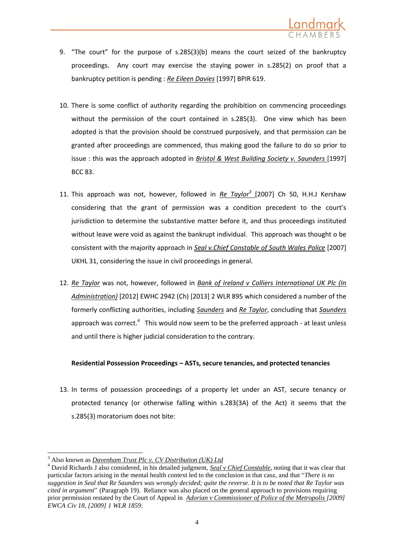

- 9. "The court" for the purpose of s.285(3)(b) means the court seized of the bankruptcy proceedings. Any court may exercise the staying power in s.285(2) on proof that a bankruptcy petition is pending : *Re Eileen Davies* [1997] BPIR 619.
- 10. There is some conflict of authority regarding the prohibition on commencing proceedings without the permission of the court contained in s.285(3). One view which has been adopted is that the provision should be construed purposively, and that permission can be granted after proceedings are commenced, thus making good the failure to do so prior to issue : this was the approach adopted in *Bristol & West Building Society v. Saunders* [1997] BCC 83.
- 11. This approach was not, however, followed in *Re Taylor<sup>3</sup>* [2007] Ch 50, H.H.J Kershaw considering that the grant of permission was a condition precedent to the court's jurisdiction to determine the substantive matter before it, and thus proceedings instituted without leave were void as against the bankrupt individual. This approach was thought o be consistent with the majority approach in *Seal v.Chief Constable of South Wales Police* [2007] UKHL 31, considering the issue in civil proceedings in general.
- 12. *Re Taylor* was not, however, followed in *Bank of Ireland v Colliers International UK Plc (In Administration)* [2012] EWHC 2942 (Ch) [2013] 2 WLR 895 which considered a number of the formerly conflicting authorities, including *Saunders* and *Re Taylor*, concluding that *Saunders*  approach was correct. $4$  This would now seem to be the preferred approach - at least unless and until there is higher judicial consideration to the contrary.

### **Residential Possession Proceedings – ASTs, secure tenancies, and protected tenancies**

13. In terms of possession proceedings of a property let under an AST, secure tenancy or protected tenancy (or otherwise falling within s.283(3A) of the Act) it seems that the s.285(3) moratorium does not bite:

 $\overline{a}$ 

<sup>3</sup> Also known as *Davenham Trust Plc v. CV Distribution (UK) Ltd*

<sup>&</sup>lt;sup>4</sup> David Richards J also considered, in his detailed judgment, *Seal v Chief Constable*, noting that it was clear that particular factors arising in the mental health context led to the conclusion in that case, and that "*There is no suggestion in Seal that Re Saunders was wrongly decided; quite the reverse. It is to be noted that Re Taylor was cited in argument*" (Paragraph 19). Reliance was also placed on the general approach to provisions requiring prior permission restated by the Court of Appeal in *[Adorian v Commissioner of Police of the Metropolis \[2009\]](http://login.westlaw.co.uk/maf/wluk/app/document?src=doc&linktype=ref&&context=39&crumb-action=replace&docguid=I811CE3D0E9CB11DD9BABCCD9CA1BF095)  [EWCA Civ 18, \[2009\] 1 WLR 1859.](http://login.westlaw.co.uk/maf/wluk/app/document?src=doc&linktype=ref&&context=39&crumb-action=replace&docguid=I811CE3D0E9CB11DD9BABCCD9CA1BF095)*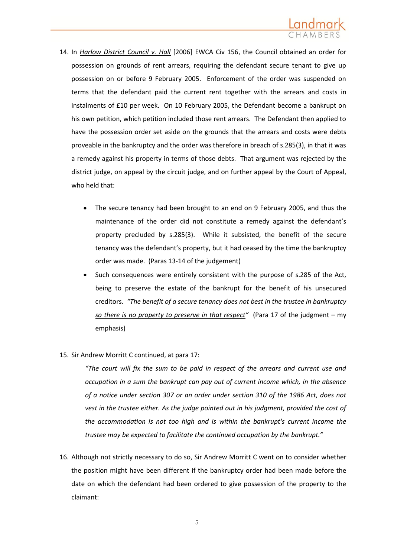

- 14. In *Harlow District Council v. Hall* [2006] EWCA Civ 156, the Council obtained an order for possession on grounds of rent arrears, requiring the defendant secure tenant to give up possession on or before 9 February 2005. Enforcement of the order was suspended on terms that the defendant paid the current rent together with the arrears and costs in instalments of £10 per week. On 10 February 2005, the Defendant become a bankrupt on his own petition, which petition included those rent arrears. The Defendant then applied to have the possession order set aside on the grounds that the arrears and costs were debts proveable in the bankruptcy and the order was therefore in breach of s.285(3), in that it was a remedy against his property in terms of those debts. That argument was rejected by the district judge, on appeal by the circuit judge, and on further appeal by the Court of Appeal, who held that:
	- The secure tenancy had been brought to an end on 9 February 2005, and thus the maintenance of the order did not constitute a remedy against the defendant's property precluded by s.285(3). While it subsisted, the benefit of the secure tenancy was the defendant's property, but it had ceased by the time the bankruptcy order was made. (Paras 13-14 of the judgement)
	- Such consequences were entirely consistent with the purpose of s.285 of the Act, being to preserve the estate of the bankrupt for the benefit of his unsecured creditors. *"The benefit of a secure tenancy does not best in the trustee in bankruptcy so there is no property to preserve in that respect"* (Para 17 of the judgment – my emphasis)
- 15. Sir Andrew Morritt C continued, at para 17:

*"The court will fix the sum to be paid in respect of the arrears and current use and occupation in a sum the bankrupt can pay out of current income which, in the absence of a notice under [section 307](http://login.westlaw.co.uk/maf/wluk/app/document?src=doc&linktype=ref&&context=14&crumb-action=replace&docguid=ID77BF970E44A11DA8D70A0E70A78ED65) or an order under [section 310](http://login.westlaw.co.uk/maf/wluk/app/document?src=doc&linktype=ref&&context=14&crumb-action=replace&docguid=ID77FF110E44A11DA8D70A0E70A78ED65) of the 1986 Act, does not vest in the trustee either. As the judge pointed out in his judgment, provided the cost of the accommodation is not too high and is within the bankrupt's current income the trustee may be expected to facilitate the continued occupation by the bankrupt."*

16. Although not strictly necessary to do so, Sir Andrew Morritt C went on to consider whether the position might have been different if the bankruptcy order had been made before the date on which the defendant had been ordered to give possession of the property to the claimant: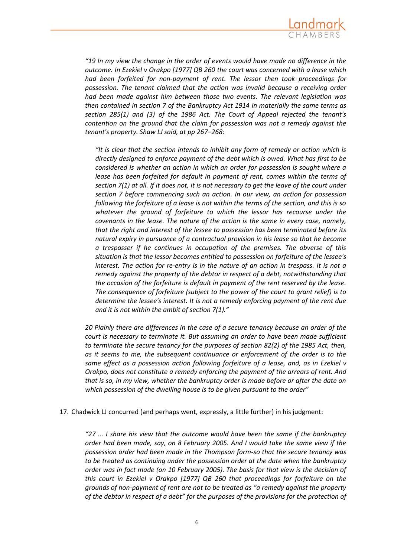

*"19 In my view the change in the order of events would have made no difference in the outcome. In [Ezekiel v Orakpo \[1977\] QB 260](http://login.westlaw.co.uk/maf/wluk/app/document?src=doc&linktype=ref&&context=41&crumb-action=replace&docguid=IA505A900E42711DA8FC2A0F0355337E9) the court was concerned with a lease which had been forfeited for non-payment of rent. The lessor then took proceedings for possession. The tenant claimed that the action was invalid because a receiving order had been made against him between those two events. The relevant legislation was then contained in section 7 of the Bankruptcy Act 1914 in materially the same terms as [section 285\(1\) and \(3\)](http://login.westlaw.co.uk/maf/wluk/app/document?src=doc&linktype=ref&&context=41&crumb-action=replace&docguid=ID76A6D40E44A11DA8D70A0E70A78ED65) of the 1986 Act. The Court of Appeal rejected the tenant's contention on the ground that the claim for possession was not a remedy against the tenant's property. Shaw LJ said, at pp 267–268:* 

*"It is clear that the section intends to inhibit any form of remedy or action which is directly designed to enforce payment of the debt which is owed. What has first to be considered is whether an action in which an order for possession is sought where a lease has been forfeited for default in payment of rent, comes within the terms of section 7(1) at all. If it does not, it is not necessary to get the leave of the court under section 7 before commencing such an action. In our view, an action for possession following the forfeiture of a lease is not within the terms of the section, and this is so whatever the ground of forfeiture to which the lessor has recourse under the covenants in the lease. The nature of the action is the same in every case, namely, that the right and interest of the lessee to possession has been terminated before its natural expiry in pursuance of a contractual provision in his lease so that he become a trespasser if he continues in occupation of the premises. The obverse of this situation is that the lessor becomes entitled to possession on forfeiture of the lessee's interest. The action for re-entry is in the nature of an action in trespass. It is not a remedy against the property of the debtor in respect of a debt, notwithstanding that the occasion of the forfeiture is default in payment of the rent reserved by the lease. The consequence of forfeiture (subject to the power of the court to grant relief) is to determine the lessee's interest. It is not a remedy enforcing payment of the rent due and it is not within the ambit of section 7(1)."*

*20 Plainly there are differences in the case of a secure tenancy because an order of the court is necessary to terminate it. But assuming an order to have been made sufficient to terminate the secure tenancy for the purposes of [section 82\(2\)](http://login.westlaw.co.uk/maf/wluk/app/document?src=doc&linktype=ref&&context=41&crumb-action=replace&docguid=IA1B9EB80E44A11DA8D70A0E70A78ED65) of the 1985 Act, then, as it seems to me, the subsequent continuance or enforcement of the order is to the same effect as a possession action following forfeiture of a lease, and, as in [Ezekiel v](http://login.westlaw.co.uk/maf/wluk/app/document?src=doc&linktype=ref&&context=41&crumb-action=replace&docguid=IA505A900E42711DA8FC2A0F0355337E9)  [Orakpo,](http://login.westlaw.co.uk/maf/wluk/app/document?src=doc&linktype=ref&&context=41&crumb-action=replace&docguid=IA505A900E42711DA8FC2A0F0355337E9) does not constitute a remedy enforcing the payment of the arrears of rent. And that is so, in my view, whether the bankruptcy order is made before or after the date on which possession of the dwelling house is to be given pursuant to the order"*

17. Chadwick LJ concurred (and perhaps went, expressly, a little further) in his judgment:

*"27 ... I share his view that the outcome would have been the same if the bankruptcy order had been made, say, on 8 February 2005. And I would take the same view if the possession order had been made in the [Thompson](http://login.westlaw.co.uk/maf/wluk/app/document?src=doc&linktype=ref&&context=41&crumb-action=replace&docguid=ICF8BEE91E42811DA8FC2A0F0355337E9) form-so that the secure tenancy was to be treated as continuing under the possession order at the date when the bankruptcy order was in fact made (on 10 February 2005). The basis for that view is the decision of this court in [Ezekiel v Orakpo \[1977\] QB 260](http://login.westlaw.co.uk/maf/wluk/app/document?src=doc&linktype=ref&&context=41&crumb-action=replace&docguid=IA505A900E42711DA8FC2A0F0355337E9) that proceedings for forfeiture on the grounds of non-payment of rent are not to be treated as "a remedy against the property of the debtor in respect of a debt" for the purposes of the provisions for the protection of*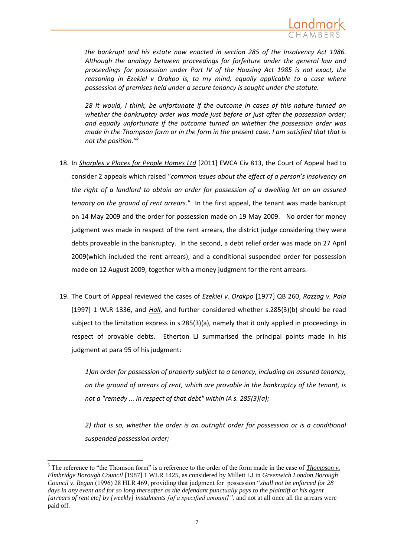

*the bankrupt and his estate now enacted in [section 285 of the Insolvency Act 1986.](http://login.westlaw.co.uk/maf/wluk/app/document?src=doc&linktype=ref&&context=41&crumb-action=replace&docguid=ID76A6D40E44A11DA8D70A0E70A78ED65) Although the analogy between proceedings for forfeiture under the general law and proceedings for possession under [Part IV of the Housing Act 1985](http://login.westlaw.co.uk/maf/wluk/app/document?src=doc&linktype=ref&&context=41&crumb-action=replace&docguid=I60168D90E42311DAA7CF8F68F6EE57AB) is not exact, the reasoning in [Ezekiel v Orakpo](http://login.westlaw.co.uk/maf/wluk/app/document?src=doc&linktype=ref&&context=41&crumb-action=replace&docguid=IA505A900E42711DA8FC2A0F0355337E9) is, to my mind, equally applicable to a case where possession of premises held under a secure tenancy is sought under the statute.*

*28 It would, I think, be unfortunate if the outcome in cases of this nature turned on whether the bankruptcy order was made just before or just after the possession order; and equally unfortunate if the outcome turned on whether the possession order was made in th[e Thompson](http://login.westlaw.co.uk/maf/wluk/app/document?src=doc&linktype=ref&&context=41&crumb-action=replace&docguid=ICF8BEE91E42811DA8FC2A0F0355337E9) form or in the form in the present case. I am satisfied that that is not the position."<sup>5</sup>*

- 18. In *Sharples v Places for People Homes Ltd* [2011] EWCA Civ 813, the Court of Appeal had to consider 2 appeals which raised "*common issues about the effect of a person's insolvency on the right of a landlord to obtain an order for possession of a dwelling let on an assured tenancy on the ground of rent arrears*." In the first appeal, the tenant was made bankrupt on 14 May 2009 and the order for possession made on 19 May 2009. No order for money judgment was made in respect of the rent arrears, the district judge considering they were debts proveable in the bankruptcy. In the second, a debt relief order was made on 27 April 2009(which included the rent arrears), and a conditional suspended order for possession made on 12 August 2009, together with a money judgment for the rent arrears.
- 19. The Court of Appeal reviewed the cases of *Ezekiel v. Orakpo* [1977] QB 260, *Razzag v. Pala* [1997] 1 WLR 1336, and *Hall*, and further considered whether s.285(3)(b) should be read subject to the limitation express in s.285(3)(a), namely that it only applied in proceedings in respect of provable debts. Etherton LJ summarised the principal points made in his judgment at para 95 of his judgment:

*1)an order for possession of property subject to a tenancy, including an assured tenancy, on the ground of arrears of rent, which are provable in the bankruptcy of the tenant, is not a "remedy ... in respect of that debt" within IA s. 285(3)(a);*

*2) that is so, whether the order is an outright order for possession or is a conditional suspended possession order;*

1

<sup>5</sup> The reference to "the Thomson form" is a reference to the order of the form made in the case of *Thompson v. Elmbridge Borough Council* [1987] 1 WLR 1425, as considered by Millett LJ in *Greenwich London Borough Council v. Regan* (1996) 28 HLR 469, providing that judgment for possession "*shall not be enforced for 28*  days in any event and for so long thereafter as the defendant punctually pays to the plaintiff or his agent [arrears of rent etc] by [weekly] instalments [of a specified amount]", and not at all once all the arrears were paid off.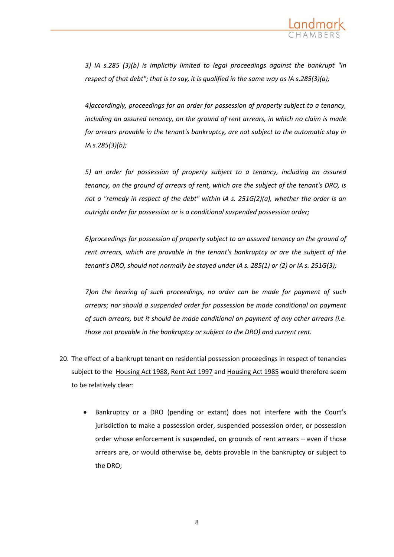

*3) IA s.285 (3)(b) is implicitly limited to legal proceedings against the bankrupt "in respect of that debt"; that is to say, it is qualified in the same way as IA s.285(3)(a);*

*4)accordingly, proceedings for an order for possession of property subject to a tenancy, including an assured tenancy, on the ground of rent arrears, in which no claim is made for arrears provable in the tenant's bankruptcy, are not subject to the automatic stay in IA s.285(3)(b);*

*5) an order for possession of property subject to a tenancy, including an assured tenancy, on the ground of arrears of rent, which are the subject of the tenant's DRO, is not a "remedy in respect of the debt" within IA s. 251G(2)(a), whether the order is an outright order for possession or is a conditional suspended possession order;*

*6)proceedings for possession of property subject to an assured tenancy on the ground of rent arrears, which are provable in the tenant's bankruptcy or are the subject of the tenant's DRO, should not normally be stayed under IA s. 285(1) or (2) or IA s. 251G(3);*

*7)on the hearing of such proceedings, no order can be made for payment of such arrears; nor should a suspended order for possession be made conditional on payment of such arrears, but it should be made conditional on payment of any other arrears (i.e. those not provable in the bankruptcy or subject to the DRO) and current rent.*

- 20. The effect of a bankrupt tenant on residential possession proceedings in respect of tenancies subject to the Housing Act 1988, Rent Act 1997 and Housing Act 1985 would therefore seem to be relatively clear:
	- Bankruptcy or a DRO (pending or extant) does not interfere with the Court's jurisdiction to make a possession order, suspended possession order, or possession order whose enforcement is suspended, on grounds of rent arrears – even if those arrears are, or would otherwise be, debts provable in the bankruptcy or subject to the DRO;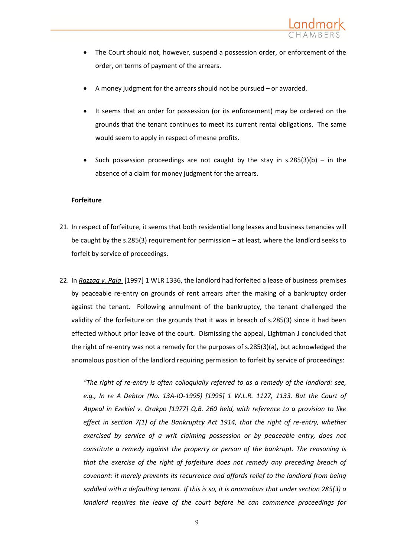

- The Court should not, however, suspend a possession order, or enforcement of the order, on terms of payment of the arrears.
- A money judgment for the arrears should not be pursued or awarded.
- It seems that an order for possession (or its enforcement) may be ordered on the grounds that the tenant continues to meet its current rental obligations. The same would seem to apply in respect of mesne profits.
- Such possession proceedings are not caught by the stay in s.285(3)(b) in the absence of a claim for money judgment for the arrears.

### **Forfeiture**

- 21. In respect of forfeiture, it seems that both residential long leases and business tenancies will be caught by the s.285(3) requirement for permission – at least, where the landlord seeks to forfeit by service of proceedings.
- 22. In *Razzaq v. Pala* [1997] 1 WLR 1336, the landlord had forfeited a lease of business premises by peaceable re-entry on grounds of rent arrears after the making of a bankruptcy order against the tenant. Following annulment of the bankruptcy, the tenant challenged the validity of the forfeiture on the grounds that it was in breach of s.285(3) since it had been effected without prior leave of the court. Dismissing the appeal, Lightman J concluded that the right of re-entry was not a remedy for the purposes of s.285(3)(a), but acknowledged the anomalous position of the landlord requiring permission to forfeit by service of proceedings:

*"The right of re-entry is often colloquially referred to as a remedy of the landlord: see, e.g., [In re A Debtor \(No. 13A-IO-1995\) \[1995\] 1 W.L.R. 1127,](http://login.westlaw.co.uk/maf/wluk/app/document?src=doc&linktype=ref&&context=8&crumb-action=replace&docguid=I95FC2C40E42711DA8FC2A0F0355337E9) 1133. But the [Court of](http://login.westlaw.co.uk/maf/wluk/app/document?src=doc&linktype=ref&&context=8&crumb-action=replace&docguid=IA505A900E42711DA8FC2A0F0355337E9)  [Appeal in Ezekiel v. Orakpo \[1977\] Q.B. 260](http://login.westlaw.co.uk/maf/wluk/app/document?src=doc&linktype=ref&&context=8&crumb-action=replace&docguid=IA505A900E42711DA8FC2A0F0355337E9) held, with reference to a provision to like effect in section 7(1) of the Bankruptcy Act 1914, that the right of re-entry, whether exercised by service of a writ claiming possession or by peaceable entry, does not constitute a remedy against the property or person of the bankrupt. The reasoning is that the exercise of the right of forfeiture does not remedy any preceding breach of covenant: it merely prevents its recurrence and affords relief to the landlord from being saddled with a defaulting tenant. If this is so, it is anomalous that under section 285(3) a landlord requires the leave of the court before he can commence proceedings for*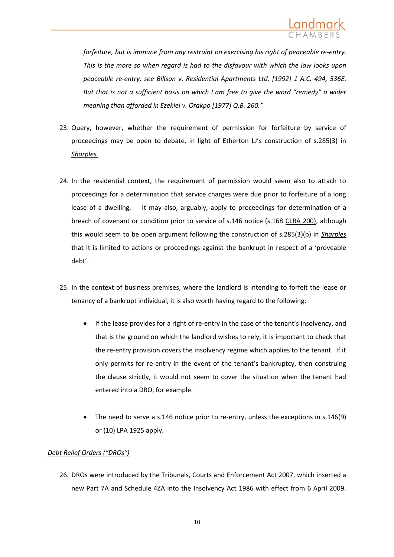

*forfeiture, but is immune from any restraint on exercising his right of peaceable re-entry. This is the more so when regard is had to the disfavour with which the law looks upon peaceable re-entry: see [Billson v. Residential Apartments Ltd. \[1992\] 1 A.C. 494,](http://login.westlaw.co.uk/maf/wluk/app/document?src=doc&linktype=ref&&context=8&crumb-action=replace&docguid=I749573E0E42711DA8FC2A0F0355337E9) 536E. But that is not a sufficient basis on which I am free to give the word "remedy" a wider meaning than afforded in [Ezekiel v. Orakpo \[1977\] Q.B. 260](http://login.westlaw.co.uk/maf/wluk/app/document?src=doc&linktype=ref&&context=8&crumb-action=replace&docguid=IA505A900E42711DA8FC2A0F0355337E9)."*

- 23. Query, however, whether the requirement of permission for forfeiture by service of proceedings may be open to debate, in light of Etherton LJ's construction of s.285(3) in *Sharples.*
- 24. In the residential context, the requirement of permission would seem also to attach to proceedings for a determination that service charges were due prior to forfeiture of a long lease of a dwelling. It may also, arguably, apply to proceedings for determination of a breach of covenant or condition prior to service of s.146 notice (s.168 CLRA 200), although this would seem to be open argument following the construction of s.285(3)(b) in *Sharples* that it is limited to actions or proceedings against the bankrupt in respect of a 'proveable debt'.
- 25. In the context of business premises, where the landlord is intending to forfeit the lease or tenancy of a bankrupt individual, it is also worth having regard to the following:
	- If the lease provides for a right of re-entry in the case of the tenant's insolvency, and that is the ground on which the landlord wishes to rely, it is important to check that the re-entry provision covers the insolvency regime which applies to the tenant. If it only permits for re-entry in the event of the tenant's bankruptcy, then construing the clause strictly, it would not seem to cover the situation when the tenant had entered into a DRO, for example.
	- The need to serve a s.146 notice prior to re-entry, unless the exceptions in s.146(9) or (10) LPA 1925 apply.

### *Debt Relief Orders ("DROs")*

26. DROs were introduced by the Tribunals, Courts and Enforcement Act 2007, which inserted a new Part 7A and Schedule 4ZA into the Insolvency Act 1986 with effect from 6 April 2009.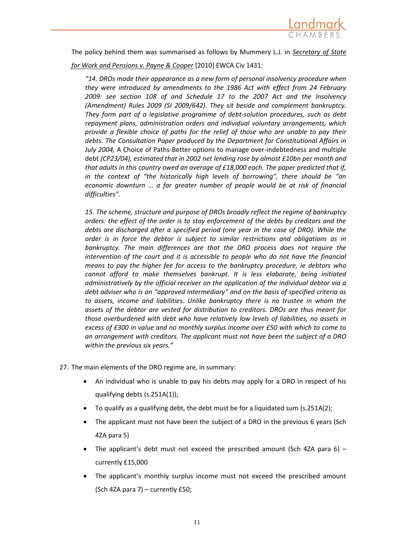

The policy behind them was summarised as follows by Mummery L.J. in *Secretary of State* 

*for Work and Pensions v. Payne & Cooper* [2010] EWCA Civ 1431:

*"14. DROs made their appearance as a new form of personal insolvency procedure when they were introduced by amendments to the 1986 Act with effect from 24 February 2009: see [section 108 of and Schedule 17](http://login.westlaw.co.uk/maf/wluk/app/document?src=doc&linktype=ref&&context=58&crumb-action=replace&docguid=IDB588280433911DCB016F6FD952C4D97) to the 2007 Act and the [Insolvency](http://login.westlaw.co.uk/maf/wluk/app/document?src=doc&linktype=ref&&context=58&crumb-action=replace&docguid=I5FA6171018F811DEB1B0DCB0B8D1D7BF)  [\(Amendment\) Rules 2009](http://login.westlaw.co.uk/maf/wluk/app/document?src=doc&linktype=ref&&context=58&crumb-action=replace&docguid=I5FA6171018F811DEB1B0DCB0B8D1D7BF) (SI 2009/642). They sit beside and complement bankruptcy. They form part of a legislative programme of debt-solution procedures, such as debt repayment plans, administration orders and individual voluntary arrangements, which provide a flexible choice of paths for the relief of those who are unable to pay their debts. The Consultation Paper produced by the Department for Constitutional Affairs in July 2004,* A Choice of Paths-Better options to manage over-indebtedness and multiple debt *(CP23/04), estimated that in 2002 net lending rose by almost £10bn per month and that adults in this country owed an average of £18,000 each. The paper predicted that if, in the context of "the historically high levels of borrowing", there should be "an economic downturn … a far greater number of people would be at risk of financial difficulties".* 

*15. The scheme, structure and purpose of DROs broadly reflect the regime of bankruptcy orders: the effect of the order is to stay enforcement of the debts by creditors and the debts are discharged after a specified period (one year in the case of DRO). While the order is in force the debtor is subject to similar restrictions and obligations as in bankruptcy. The main differences are that the DRO process does not require the intervention of the court and it is accessible to people who do not have the financial means to pay the higher fee for access to the bankruptcy procedure, ie debtors who cannot afford to make themselves bankrupt. It is less elaborate, being initiated administratively by the official receiver on the application of the individual debtor via a debt adviser who is an "approved intermediary" and on the basis of specified criteria as to assets, income and liabilities. Unlike bankruptcy there is no trustee in whom the assets of the debtor are vested for distribution to creditors. DROs are thus meant for those overburdened with debt who have relatively low levels of liabilities, no assets in excess of £300 in value and no monthly surplus income over £50 with which to come to an arrangement with creditors. The applicant must not have been the subject of a DRO within the previous six years."*

27. The main elements of the DRO regime are, in summary:

- An individual who is unable to pay his debts may apply for a DRO in respect of his qualifying debts (s.251A(1));
- To qualify as a qualifying debt, the debt must be for a liquidated sum (s.251A(2);
- The applicant must not have been the subject of a DRO in the previous 6 years (Sch 4ZA para 5)
- The applicant's debt must not exceed the prescribed amount (Sch 4ZA para  $6$ ) currently £15,000
- The applicant's monthly surplus income must not exceed the prescribed amount (Sch 4ZA para 7) – currently £50;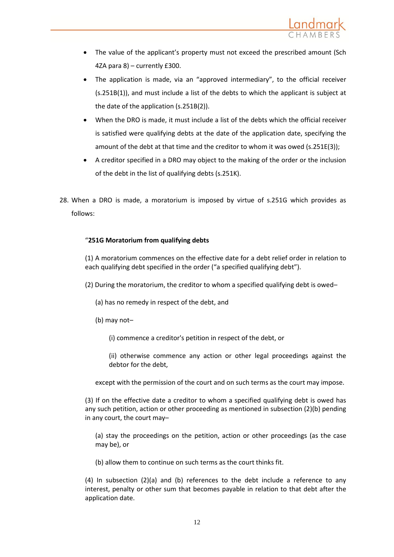

- The value of the applicant's property must not exceed the prescribed amount (Sch 4ZA para 8) – currently £300.
- The application is made, via an "approved intermediary", to the official receiver (s.251B(1)), and must include a list of the debts to which the applicant is subject at the date of the application (s.251B(2)).
- When the DRO is made, it must include a list of the debts which the official receiver is satisfied were qualifying debts at the date of the application date, specifying the amount of the debt at that time and the creditor to whom it was owed (s.251E(3));
- A creditor specified in a DRO may object to the making of the order or the inclusion of the debt in the list of qualifying debts (s.251K).
- 28. When a DRO is made, a moratorium is imposed by virtue of s.251G which provides as follows:

# "**251G Moratorium from qualifying debts**

(1) A moratorium commences on the effective date for a debt relief order in relation to each qualifying debt specified in the order ("a specified qualifying debt").

- (2) During the moratorium, the creditor to whom a specified qualifying debt is owed–
	- (a) has no remedy in respect of the debt, and
	- (b) may not–
		- (i) commence a creditor's petition in respect of the debt, or
		- (ii) otherwise commence any action or other legal proceedings against the debtor for the debt,

except with the permission of the court and on such terms as the court may impose.

(3) If on the effective date a creditor to whom a specified qualifying debt is owed has any such petition, action or other proceeding as mentioned in subsection (2)(b) pending in any court, the court may–

(a) stay the proceedings on the petition, action or other proceedings (as the case may be), or

(b) allow them to continue on such terms as the court thinks fit.

(4) In subsection (2)(a) and (b) references to the debt include a reference to any interest, penalty or other sum that becomes payable in relation to that debt after the application date.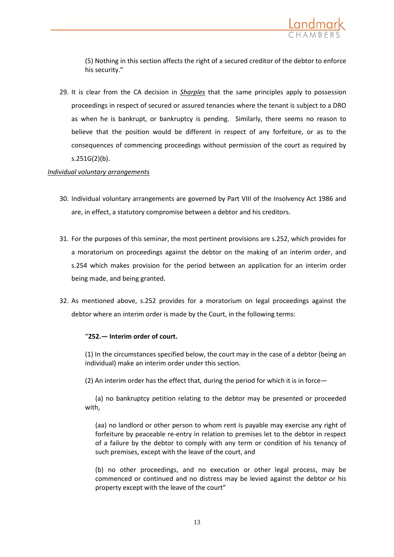

(5) Nothing in this section affects the right of a secured creditor of the debtor to enforce his security."

29. It is clear from the CA decision in *Sharples* that the same principles apply to possession proceedings in respect of secured or assured tenancies where the tenant is subject to a DRO as when he is bankrupt, or bankruptcy is pending. Similarly, there seems no reason to believe that the position would be different in respect of any forfeiture, or as to the consequences of commencing proceedings without permission of the court as required by s.251G(2)(b).

### *Individual voluntary arrangements*

- 30. Individual voluntary arrangements are governed by Part VIII of the Insolvency Act 1986 and are, in effect, a statutory compromise between a debtor and his creditors.
- 31. For the purposes of this seminar, the most pertinent provisions are s.252, which provides for a moratorium on proceedings against the debtor on the making of an interim order, and s.254 which makes provision for the period between an application for an interim order being made, and being granted.
- 32. As mentioned above, s.252 provides for a moratorium on legal proceedings against the debtor where an interim order is made by the Court, in the following terms:

### "**252.— Interim order of court.**

(1) In the circumstances specified below, the court may in the case of a debtor (being an individual) make an interim order under this section.

(2) An interim order has the effect that, during the period for which it is in force—

(a) no bankruptcy petition relating to the debtor may be presented or proceeded with,

(aa) no landlord or other person to whom rent is payable may exercise any right of forfeiture by peaceable re-entry in relation to premises let to the debtor in respect of a failure by the debtor to comply with any term or condition of his tenancy of such premises, except with the leave of the court, and

(b) no other proceedings, and no execution or other legal process, may be commenced or continued and no distress may be levied against the debtor or his property except with the leave of the court"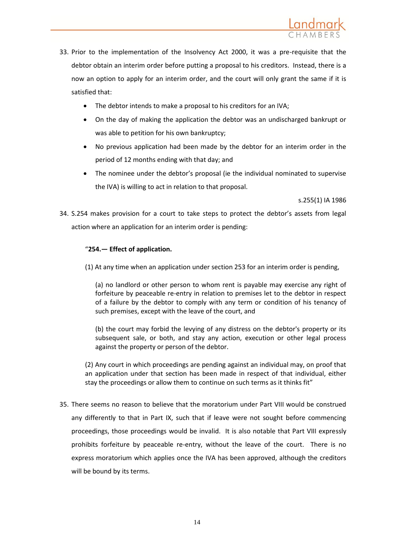

- 33. Prior to the implementation of the Insolvency Act 2000, it was a pre-requisite that the debtor obtain an interim order before putting a proposal to his creditors. Instead, there is a now an option to apply for an interim order, and the court will only grant the same if it is satisfied that:
	- The debtor intends to make a proposal to his creditors for an IVA;
	- On the day of making the application the debtor was an undischarged bankrupt or was able to petition for his own bankruptcy;
	- No previous application had been made by the debtor for an interim order in the period of 12 months ending with that day; and
	- The nominee under the debtor's proposal (ie the individual nominated to supervise the IVA) is willing to act in relation to that proposal.

s.255(1) IA 1986

34. S.254 makes provision for a court to take steps to protect the debtor's assets from legal action where an application for an interim order is pending:

### "**254.— Effect of application.**

(1) At any time when an application unde[r section 253](http://login.westlaw.co.uk/maf/wluk/app/document?src=doc&linktype=ref&&context=32&crumb-action=replace&docguid=ID74299F0E44A11DA8D70A0E70A78ED65) for an interim order is pending,

(a) no landlord or other person to whom rent is payable may exercise any right of forfeiture by peaceable re-entry in relation to premises let to the debtor in respect of a failure by the debtor to comply with any term or condition of his tenancy of such premises, except with the leave of the court, and

(b) the court may forbid the levying of any distress on the debtor's property or its subsequent sale, or both, and stay any action, execution or other legal process against the property or person of the debtor.

(2) Any court in which proceedings are pending against an individual may, on proof that an application under that section has been made in respect of that individual, either stay the proceedings or allow them to continue on such terms as it thinks fit"

35. There seems no reason to believe that the moratorium under Part VIII would be construed any differently to that in Part IX, such that if leave were not sought before commencing proceedings, those proceedings would be invalid. It is also notable that Part VIII expressly prohibits forfeiture by peaceable re-entry, without the leave of the court. There is no express moratorium which applies once the IVA has been approved, although the creditors will be bound by its terms.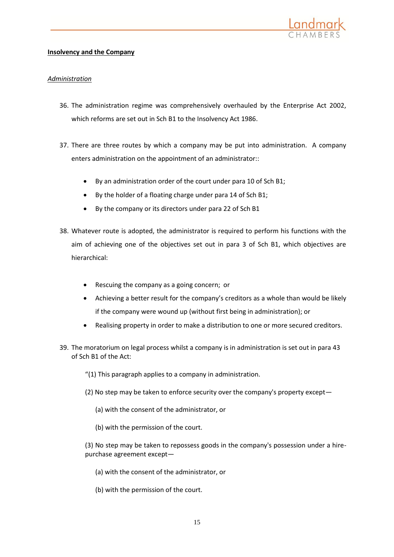

### **Insolvency and the Company**

## *Administration*

- 36. The administration regime was comprehensively overhauled by the Enterprise Act 2002, which reforms are set out in Sch B1 to the Insolvency Act 1986.
- 37. There are three routes by which a company may be put into administration. A company enters administration on the appointment of an administrator::
	- By an administration order of the court under para 10 of Sch B1;
	- By the holder of a floating charge under para 14 of Sch B1;
	- By the company or its directors under para 22 of Sch B1
- 38. Whatever route is adopted, the administrator is required to perform his functions with the aim of achieving one of the objectives set out in para 3 of Sch B1, which objectives are hierarchical:
	- Rescuing the company as a going concern; or
	- Achieving a better result for the company's creditors as a whole than would be likely if the company were wound up (without first being in administration); or
	- Realising property in order to make a distribution to one or more secured creditors.
- 39. The moratorium on legal process whilst a company is in administration is set out in para 43 of Sch B1 of the Act:
	- "(1) This paragraph applies to a company in administration.
	- (2) No step may be taken to enforce security over the company's property except—
		- (a) with the consent of the administrator, or
		- (b) with the permission of the court.

(3) No step may be taken to repossess goods in the company's possession under a hirepurchase agreement except—

- (a) with the consent of the administrator, or
- (b) with the permission of the court.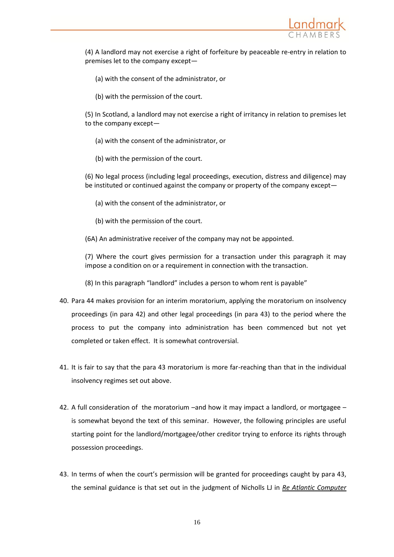

(4) A landlord may not exercise a right of forfeiture by peaceable re-entry in relation to premises let to the company except—

(a) with the consent of the administrator, or

(b) with the permission of the court.

(5) In Scotland, a landlord may not exercise a right of irritancy in relation to premises let to the company except—

- (a) with the consent of the administrator, or
- (b) with the permission of the court.

(6) No legal process (including legal proceedings, execution, distress and diligence) may be instituted or continued against the company or property of the company except—

- (a) with the consent of the administrator, or
- (b) with the permission of the court.

(6A) An administrative receiver of the company may not be appointed.

(7) Where the court gives permission for a transaction under this paragraph it may impose a condition on or a requirement in connection with the transaction.

(8) In this paragraph "landlord" includes a person to whom rent is payable"

- 40. Para 44 makes provision for an interim moratorium, applying the moratorium on insolvency proceedings (in para 42) and other legal proceedings (in para 43) to the period where the process to put the company into administration has been commenced but not yet completed or taken effect. It is somewhat controversial.
- 41. It is fair to say that the para 43 moratorium is more far-reaching than that in the individual insolvency regimes set out above.
- 42. A full consideration of the moratorium –and how it may impact a landlord, or mortgagee is somewhat beyond the text of this seminar. However, the following principles are useful starting point for the landlord/mortgagee/other creditor trying to enforce its rights through possession proceedings.
- 43. In terms of when the court's permission will be granted for proceedings caught by para 43, the seminal guidance is that set out in the judgment of Nicholls LJ in *Re Atlantic Computer*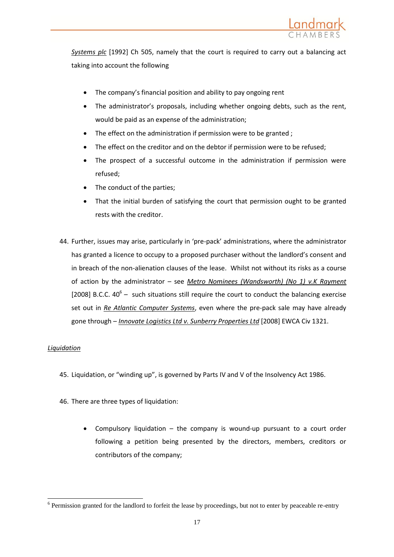

*Systems plc* [1992] Ch 505, namely that the court is required to carry out a balancing act taking into account the following

- The company's financial position and ability to pay ongoing rent
- The administrator's proposals, including whether ongoing debts, such as the rent, would be paid as an expense of the administration;
- The effect on the administration if permission were to be granted ;
- The effect on the creditor and on the debtor if permission were to be refused;
- The prospect of a successful outcome in the administration if permission were refused;
- The conduct of the parties;
- That the initial burden of satisfying the court that permission ought to be granted rests with the creditor.
- 44. Further, issues may arise, particularly in 'pre-pack' administrations, where the administrator has granted a licence to occupy to a proposed purchaser without the landlord's consent and in breach of the non-alienation clauses of the lease. Whilst not without its risks as a course of action by the administrator – see *Metro Nominees (Wandsworth) (No 1) v.K Rayment* [2008] B.C.C.  $40^6$  – such situations still require the court to conduct the balancing exercise set out in *Re Atlantic Computer Systems*, even where the pre-pack sale may have already gone through – *Innovate Logistics Ltd v. Sunberry Properties Ltd* [2008] EWCA Civ 1321.

### *Liquidation*

 $\overline{a}$ 

- 45. Liquidation, or "winding up", is governed by Parts IV and V of the Insolvency Act 1986.
- 46. There are three types of liquidation:
	- Compulsory liquidation the company is wound-up pursuant to a court order following a petition being presented by the directors, members, creditors or contributors of the company;

 $6$  Permission granted for the landlord to forfeit the lease by proceedings, but not to enter by peaceable re-entry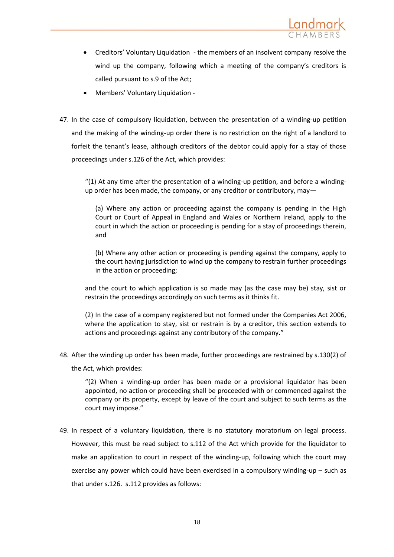

- Creditors' Voluntary Liquidation the members of an insolvent company resolve the wind up the company, following which a meeting of the company's creditors is called pursuant to s.9 of the Act;
- Members' Voluntary Liquidation -
- 47. In the case of compulsory liquidation, between the presentation of a winding-up petition and the making of the winding-up order there is no restriction on the right of a landlord to forfeit the tenant's lease, although creditors of the debtor could apply for a stay of those proceedings under s.126 of the Act, which provides:

" $(1)$  At any time after the presentation of a winding-up petition, and before a windingup order has been made, the company, or any creditor or contributory, may—

(a) Where any action or proceeding against the company is pending in the High Court or Court of Appeal in England and Wales or Northern Ireland, apply to the court in which the action or proceeding is pending for a stay of proceedings therein, and

(b) Where any other action or proceeding is pending against the company, apply to the court having jurisdiction to wind up the company to restrain further proceedings in the action or proceeding;

and the court to which application is so made may (as the case may be) stay, sist or restrain the proceedings accordingly on such terms as it thinks fit.

(2) In the case of a company registered but not formed under the [Companies Act 2006,](http://login.westlaw.co.uk/maf/wluk/app/document?src=doc&linktype=ref&&context=60&crumb-action=replace&docguid=I67088A508B0211DBB4C6A18EEE1C8BDD) where the application to stay, sist or restrain is by a creditor, this section extends to actions and proceedings against any contributory of the company."

48. After the winding up order has been made, further proceedings are restrained by s.130(2) of

the Act, which provides:

"(2) When a winding-up order has been made or a provisional liquidator has been appointed, no action or proceeding shall be proceeded with or commenced against the company or its property, except by leave of the court and subject to such terms as the court may impose."

49. In respect of a voluntary liquidation, there is no statutory moratorium on legal process. However, this must be read subject to s.112 of the Act which provide for the liquidator to make an application to court in respect of the winding-up, following which the court may exercise any power which could have been exercised in a compulsory winding-up – such as that under s.126. s.112 provides as follows: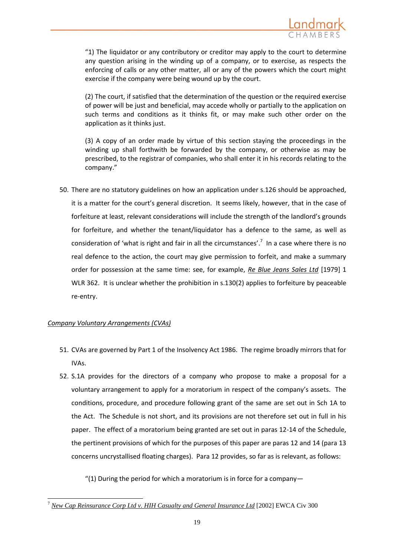

"1) The liquidator or any contributory or creditor may apply to the court to determine any question arising in the winding up of a company, or to exercise, as respects the enforcing of calls or any other matter, all or any of the powers which the court might exercise if the company were being wound up by the court.

(2) The court, if satisfied that the determination of the question or the required exercise of power will be just and beneficial, may accede wholly or partially to the application on such terms and conditions as it thinks fit, or may make such other order on the application as it thinks just.

(3) A copy of an order made by virtue of this section staying the proceedings in the winding up shall forthwith be forwarded by the company, or otherwise as may be prescribed, to the registrar of companies, who shall enter it in his records relating to the company."

50. There are no statutory guidelines on how an application under s.126 should be approached, it is a matter for the court's general discretion. It seems likely, however, that in the case of forfeiture at least, relevant considerations will include the strength of the landlord's grounds for forfeiture, and whether the tenant/liquidator has a defence to the same, as well as consideration of 'what is right and fair in all the circumstances'.<sup>7</sup> In a case where there is no real defence to the action, the court may give permission to forfeit, and make a summary order for possession at the same time: see, for example, *Re Blue Jeans Sales Ltd* [1979] 1 WLR 362. It is unclear whether the prohibition in s.130(2) applies to forfeiture by peaceable re-entry.

### *Company Voluntary Arrangements (CVAs)*

 $\overline{a}$ 

- 51. CVAs are governed by Part 1 of the Insolvency Act 1986. The regime broadly mirrors that for IVAs.
- 52. S.1A provides for the directors of a company who propose to make a proposal for a voluntary arrangement to apply for a moratorium in respect of the company's assets. The conditions, procedure, and procedure following grant of the same are set out in Sch 1A to the Act. The Schedule is not short, and its provisions are not therefore set out in full in his paper. The effect of a moratorium being granted are set out in paras 12-14 of the Schedule, the pertinent provisions of which for the purposes of this paper are paras 12 and 14 (para 13 concerns uncrystallised floating charges). Para 12 provides, so far as is relevant, as follows:

"(1) During the period for which a moratorium is in force for a company-

<sup>7</sup> *New Cap Reinsurance Corp Ltd v. HIH Casualty and General Insurance Ltd* [2002] EWCA Civ 300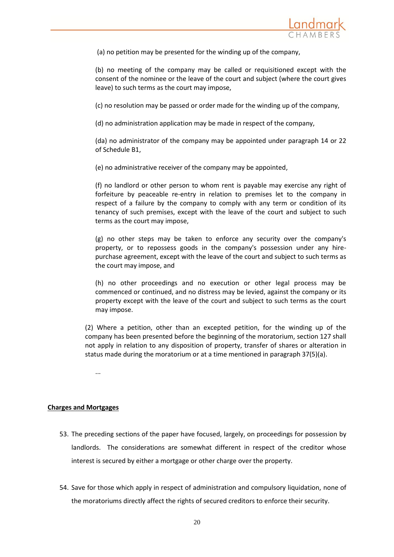

(a) no petition may be presented for the winding up of the company,

(b) no meeting of the company may be called or requisitioned except with the consent of the nominee or the leave of the court and subject (where the court gives leave) to such terms as the court may impose,

(c) no resolution may be passed or order made for the winding up of the company,

(d) no administration application may be made in respect of the company,

(da) no administrator of the company may be appointed under [paragraph 14](http://login.westlaw.co.uk/maf/wluk/app/document?src=doc&linktype=ref&&context=81&crumb-action=replace&docguid=ID844A0A0E44A11DA8D70A0E70A78ED65) or [22](http://login.westlaw.co.uk/maf/wluk/app/document?src=doc&linktype=ref&&context=81&crumb-action=replace&docguid=ID8562CD0E44A11DA8D70A0E70A78ED65)  [of Schedule B1,](http://login.westlaw.co.uk/maf/wluk/app/document?src=doc&linktype=ref&&context=81&crumb-action=replace&docguid=ID8562CD0E44A11DA8D70A0E70A78ED65)

(e) no administrative receiver of the company may be appointed,

(f) no landlord or other person to whom rent is payable may exercise any right of forfeiture by peaceable re-entry in relation to premises let to the company in respect of a failure by the company to comply with any term or condition of its tenancy of such premises, except with the leave of the court and subject to such terms as the court may impose,

(g) no other steps may be taken to enforce any security over the company's property, or to repossess goods in the company's possession under any hirepurchase agreement, except with the leave of the court and subject to such terms as the court may impose, and

(h) no other proceedings and no execution or other legal process may be commenced or continued, and no distress may be levied, against the company or its property except with the leave of the court and subject to such terms as the court may impose.

(2) Where a petition, other than an excepted petition, for the winding up of the company has been presented before the beginning of the moratorium, [section 127](http://login.westlaw.co.uk/maf/wluk/app/document?src=doc&linktype=ref&&context=81&crumb-action=replace&docguid=ID6CD9101E44A11DA8D70A0E70A78ED65) shall not apply in relation to any disposition of property, transfer of shares or alteration in status made during the moratorium or at a time mentioned in [paragraph 37\(5\)\(a\).](http://login.westlaw.co.uk/maf/wluk/app/document?src=doc&linktype=ref&&context=81&crumb-action=replace&docguid=ID8384490E44A11DA8D70A0E70A78ED65)

...

### **Charges and Mortgages**

- 53. The preceding sections of the paper have focused, largely, on proceedings for possession by landlords. The considerations are somewhat different in respect of the creditor whose interest is secured by either a mortgage or other charge over the property.
- 54. Save for those which apply in respect of administration and compulsory liquidation, none of the moratoriums directly affect the rights of secured creditors to enforce their security.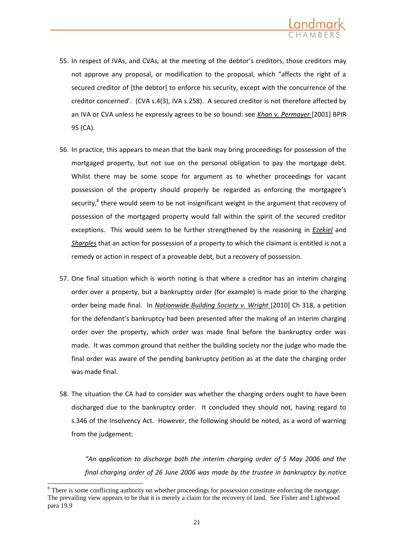

- 55. In respect of IVAs, and CVAs, at the meeting of the debtor's creditors, those creditors may not approve any proposal, or modification to the proposal, which "affects the right of a secured creditor of [the debtor] to enforce his security, except with the concurrence of the creditor concerned'. (CVA s.4(3), IVA s.258). A secured creditor is not therefore affected by an IVA or CVA unless he expressly agrees to be so bound: see *Khan v. Permayer* [2001] BPIR 95 (CA).
- 56. In practice, this appears to mean that the bank may bring proceedings for possession of the mortgaged property, but not sue on the personal obligation to pay the mortgage debt. Whilst there may be some scope for argument as to whether proceedings for vacant possession of the property should properly be regarded as enforcing the mortgagee's security, $^8$  there would seem to be not insignificant weight in the argument that recovery of possession of the mortgaged property would fall within the spirit of the secured creditor exceptions. This would seem to be further strengthened by the reasoning in *Ezekiel* and *Sharples* that an action for possession of a property to which the claimant is entitled is not a remedy or action in respect of a proveable debt, but a recovery of possession.
- 57. One final situation which is worth noting is that where a creditor has an interim charging order over a property, but a bankruptcy order (for example) is made prior to the charging order being made final. In *Nationwide Building Society v. Wright* [2010] Ch 318, a petition for the defendant's bankruptcy had been presented after the making of an interim charging order over the property, which order was made final before the bankruptcy order was made. It was common ground that neither the building society nor the judge who made the final order was aware of the pending bankruptcy petition as at the date the charging order was made final.
- 58. The situation the CA had to consider was whether the charging orders ought to have been discharged due to the bankruptcy order. It concluded they should not, having regard to s.346 of the Insolvency Act. However, the following should be noted, as a word of warning from the judgement:

*"An application to discharge both the interim charging order of 5 May 2006 and the final charging order of 26 June 2006 was made by the trustee in bankruptcy by notice* 

 $\overline{a}$ 

<sup>&</sup>lt;sup>8</sup> There is some conflicting authority on whether proceedings for possession constitute enforcing the mortgage. The prevailing view appears to be that it is merely a claim for the recovery of land. See Fisher and Lightwood para 19.9